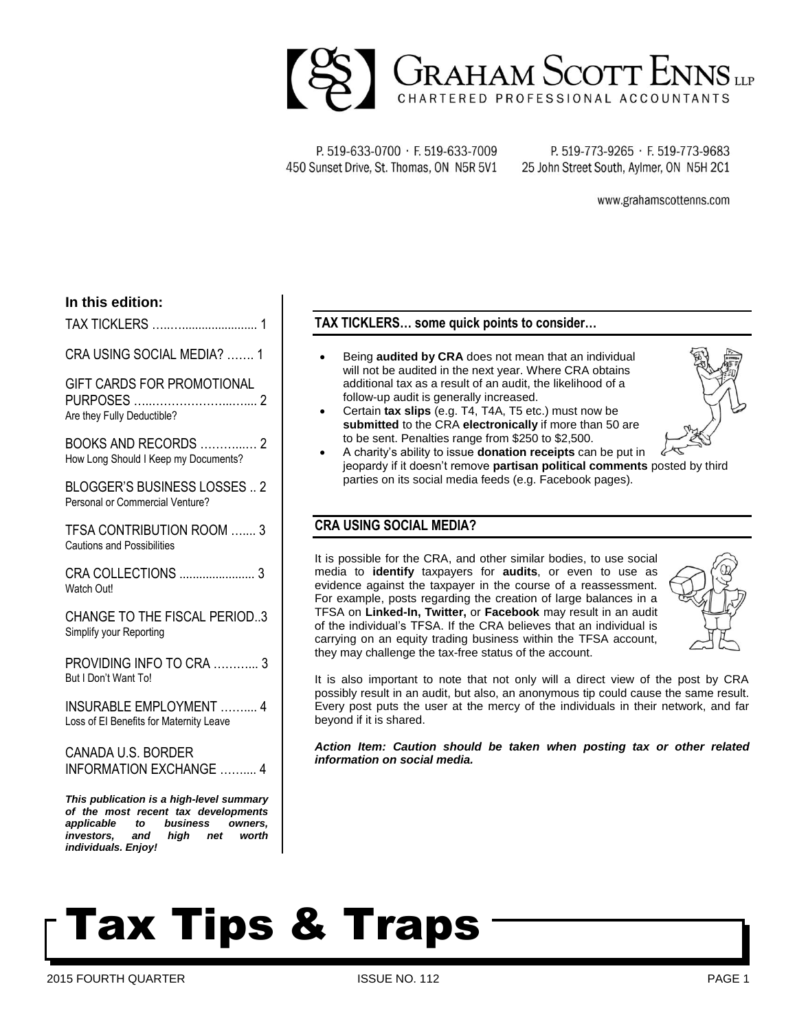

P. 519-633-0700 · F. 519-633-7009 450 Sunset Drive, St. Thomas, ON N5R 5V1

P. 519-773-9265 · F. 519-773-9683 25 John Street South, Aylmer, ON N5H 2C1

www.grahamscottenns.com

#### **In this edition:**

TAX TICKLERS …..…....................... 1

CRA USING SOCIAL MEDIA? 1

GIFT CARDS FOR PROMOTIONAL PURPOSES …..………………...….... 2 Are they Fully Deductible?

BOOKS AND RECORDS ………...… 2 How Long Should I Keep my Documents?

BLOGGER'S BUSINESS LOSSES .. 2 Personal or Commercial Venture?

TFSA CONTRIBUTION ROOM ….... 3 Cautions and Possibilities

CRA COLLECTIONS ....................... 3 Watch Out!

CHANGE TO THE FISCAL PERIOD..3 Simplify your Reporting

PROVIDING INFO TO CRA ………... 3 But I Don't Want To!

INSURABLE EMPLOYMENT …….... 4 Loss of EI Benefits for Maternity Leave

CANADA U.S. BORDER INFORMATION EXCHANGE …….... 4

*This publication is a high-level summary of the most recent tax developments applicable to business owners, investors, and high net worth individuals. Enjoy!*

#### **TAX TICKLERS… some quick points to consider…**

- Being **audited by CRA** does not mean that an individual will not be audited in the next year. Where CRA obtains additional tax as a result of an audit, the likelihood of a follow-up audit is generally increased.
- Certain **tax slips** (e.g. T4, T4A, T5 etc.) must now be **submitted** to the CRA **electronically** if more than 50 are to be sent. Penalties range from \$250 to \$2,500.



 A charity's ability to issue **donation receipts** can be put in jeopardy if it doesn't remove **partisan political comments** posted by third parties on its social media feeds (e.g. Facebook pages).

#### **CRA USING SOCIAL MEDIA?**

It is possible for the CRA, and other similar bodies, to use social media to **identify** taxpayers for **audits**, or even to use as evidence against the taxpayer in the course of a reassessment. For example, posts regarding the creation of large balances in a TFSA on **Linked-In, Twitter,** or **Facebook** may result in an audit of the individual's TFSA. If the CRA believes that an individual is carrying on an equity trading business within the TFSA account, they may challenge the tax-free status of the account.



It is also important to note that not only will a direct view of the post by CRA possibly result in an audit, but also, an anonymous tip could cause the same result. Every post puts the user at the mercy of the individuals in their network, and far beyond if it is shared.

*Action Item: Caution should be taken when posting tax or other related information on social media.*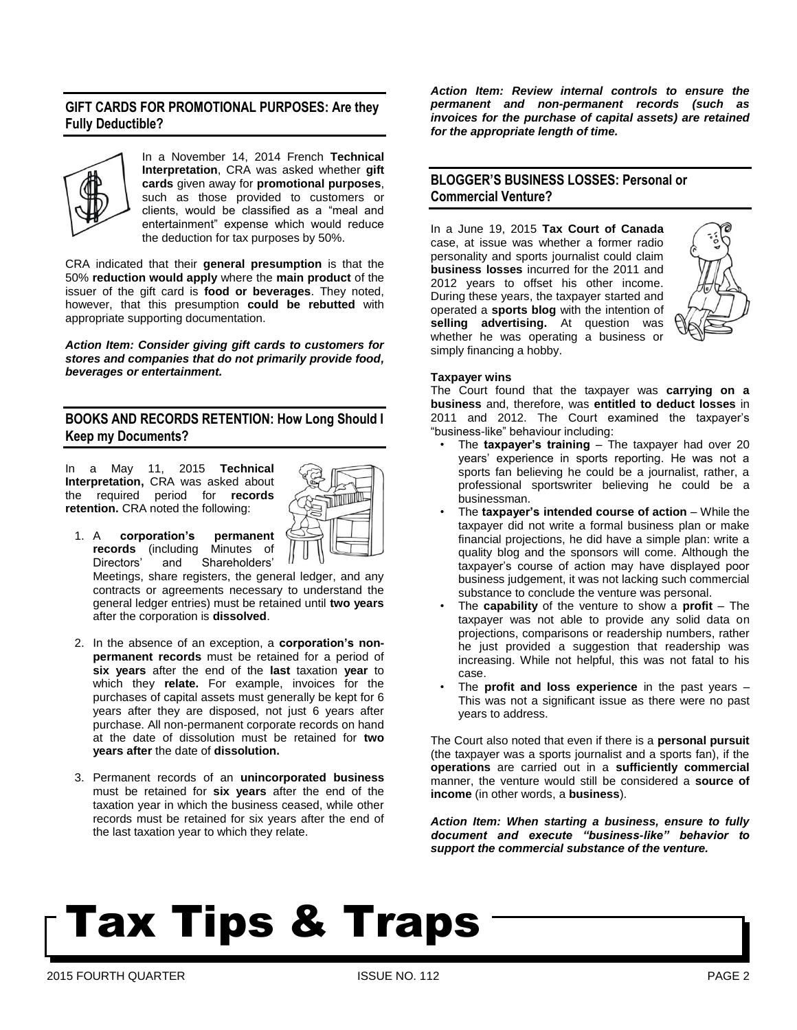#### **GIFT CARDS FOR PROMOTIONAL PURPOSES: Are they Fully Deductible?**



In a November 14, 2014 French **Technical Interpretation**, CRA was asked whether **gift cards** given away for **promotional purposes**, such as those provided to customers or clients, would be classified as a "meal and entertainment" expense which would reduce the deduction for tax purposes by 50%.

CRA indicated that their **general presumption** is that the 50% **reduction would apply** where the **main product** of the issuer of the gift card is **food or beverages**. They noted, however, that this presumption **could be rebutted** with appropriate supporting documentation.

*Action Item: Consider giving gift cards to customers for stores and companies that do not primarily provide food, beverages or entertainment.* 

#### **BOOKS AND RECORDS RETENTION: How Long Should I Keep my Documents?**

In a May 11, 2015 **Technical Interpretation,** CRA was asked about the required period for **records retention.** CRA noted the following:



1. A **corporation's permanent records** (including Minutes of Directors' and Shareholders'

Meetings, share registers, the general ledger, and any contracts or agreements necessary to understand the general ledger entries) must be retained until **two years**  after the corporation is **dissolved**.

- 2. In the absence of an exception, a **corporation's nonpermanent records** must be retained for a period of **six years** after the end of the **last** taxation **year** to which they **relate.** For example, invoices for the purchases of capital assets must generally be kept for 6 years after they are disposed, not just 6 years after purchase. All non-permanent corporate records on hand at the date of dissolution must be retained for **two years after** the date of **dissolution.**
- 3. Permanent records of an **unincorporated business** must be retained for **six years** after the end of the taxation year in which the business ceased, while other records must be retained for six years after the end of the last taxation year to which they relate.

*Action Item: Review internal controls to ensure the permanent and non-permanent records (such as invoices for the purchase of capital assets) are retained for the appropriate length of time.*

#### **BLOGGER'S BUSINESS LOSSES: Personal or Commercial Venture?**

In a June 19, 2015 **Tax Court of Canada** case, at issue was whether a former radio personality and sports journalist could claim **business losses** incurred for the 2011 and 2012 years to offset his other income. During these years, the taxpayer started and operated a **sports blog** with the intention of **selling advertising.** At question was whether he was operating a business or simply financing a hobby.



#### **Taxpayer wins**

The Court found that the taxpayer was **carrying on a business** and, therefore, was **entitled to deduct losses** in 2011 and 2012. The Court examined the taxpayer's "business-like" behaviour including:

- The **taxpayer's training** The taxpayer had over 20 years' experience in sports reporting. He was not a sports fan believing he could be a journalist, rather, a professional sportswriter believing he could be a businessman.
- The **taxpayer's intended course of action** While the taxpayer did not write a formal business plan or make financial projections, he did have a simple plan: write a quality blog and the sponsors will come. Although the taxpayer's course of action may have displayed poor business judgement, it was not lacking such commercial substance to conclude the venture was personal.
- The **capability** of the venture to show a **profit** The taxpayer was not able to provide any solid data on projections, comparisons or readership numbers, rather he just provided a suggestion that readership was increasing. While not helpful, this was not fatal to his case.
- The **profit and loss experience** in the past years This was not a significant issue as there were no past years to address.

The Court also noted that even if there is a **personal pursuit** (the taxpayer was a sports journalist and a sports fan), if the **operations** are carried out in a **sufficiently commercial** manner, the venture would still be considered a **source of income** (in other words, a **business**).

*Action Item: When starting a business, ensure to fully document and execute "business-like" behavior to support the commercial substance of the venture.*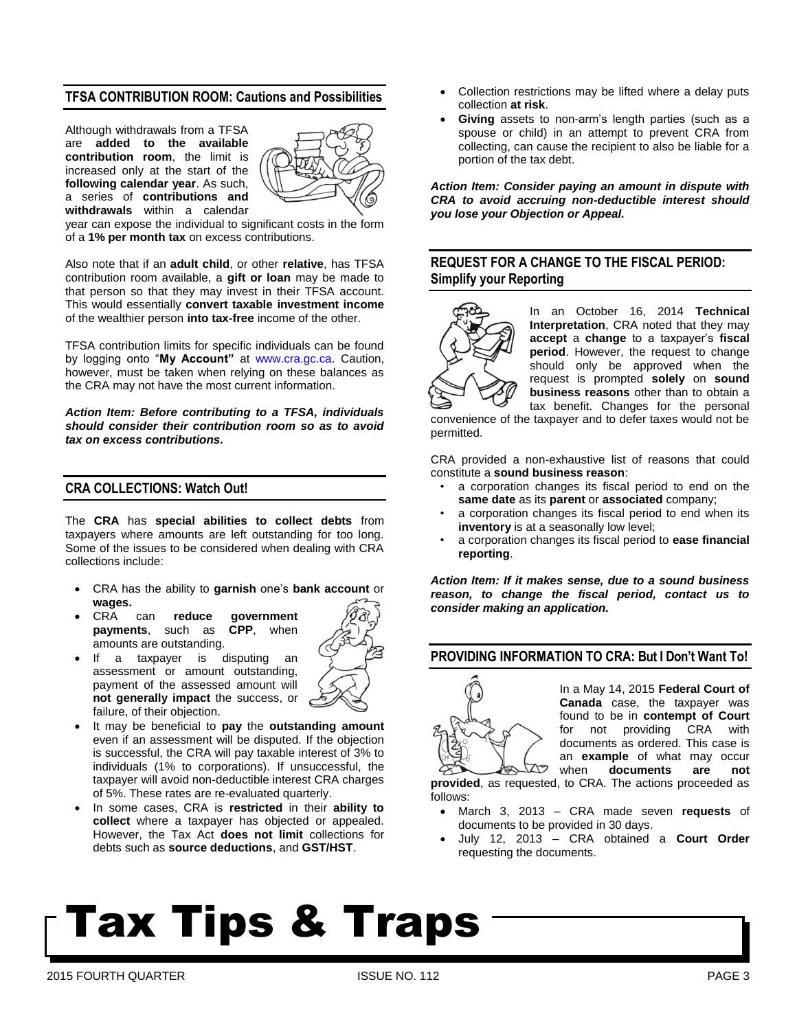#### **TFSA CONTRIBUTION ROOM: Cautions and Possibilities**

Although withdrawals from a TFSA are **added to the available contribution room**, the limit is increased only at the start of the **following calendar year**. As such, a series of **contributions and withdrawals** within a calendar



year can expose the individual to significant costs in the form of a **1% per month tax** on excess contributions.

Also note that if an **adult child**, or other **relative**, has TFSA contribution room available, a **gift or loan** may be made to that person so that they may invest in their TFSA account. This would essentially **convert taxable investment income** of the wealthier person **into tax-free** income of the other.

TFSA contribution limits for specific individuals can be found by logging onto "**My Account"** at [www.cra.gc.ca.](http://www.cra.gc.ca/) Caution, however, must be taken when relying on these balances as the CRA may not have the most current information.

*Action Item: Before contributing to a TFSA, individuals should consider their contribution room so as to avoid tax on excess contributions.* 

#### **CRA COLLECTIONS: Watch Out!**

The **CRA** has **special abilities to collect debts** from taxpayers where amounts are left outstanding for too long. Some of the issues to be considered when dealing with CRA collections include:

- CRA has the ability to **garnish** one's **bank account** or **wages.**
- can **reduce government**<br> **ents**. such as CPP, when **payments**, such as amounts are outstanding.



- If a taxpayer is disputing an assessment or amount outstanding, payment of the assessed amount will **not generally impact** the success, or failure, of their objection.
- It may be beneficial to **pay** the **outstanding amount** even if an assessment will be disputed. If the objection is successful, the CRA will pay taxable interest of 3% to individuals (1% to corporations). If unsuccessful, the taxpayer will avoid non-deductible interest CRA charges of 5%. These rates are re-evaluated quarterly.
- In some cases, CRA is **restricted** in their **ability to collect** where a taxpayer has objected or appealed. However, the Tax Act **does not limit** collections for debts such as **source deductions**, and **GST/HST**.
- Collection restrictions may be lifted where a delay puts collection **at risk**.
- **Giving** assets to non-arm's length parties (such as a spouse or child) in an attempt to prevent CRA from collecting, can cause the recipient to also be liable for a portion of the tax debt.

*Action Item: Consider paying an amount in dispute with CRA to avoid accruing non-deductible interest should you lose your Objection or Appeal.*

#### **REQUEST FOR A CHANGE TO THE FISCAL PERIOD: Simplify your Reporting**



In an October 16, 2014 **Technical Interpretation**, CRA noted that they may **accept** a **change** to a taxpayer's **fiscal period**. However, the request to change should only be approved when the request is prompted **solely** on **sound business reasons** other than to obtain a tax benefit. Changes for the personal

convenience of the taxpayer and to defer taxes would not be permitted.

CRA provided a non-exhaustive list of reasons that could constitute a **sound business reason**:

- a corporation changes its fiscal period to end on the **same date** as its **parent** or **associated** company;
- a corporation changes its fiscal period to end when its **inventory** is at a seasonally low level;
- a corporation changes its fiscal period to **ease financial reporting**.

*Action Item: If it makes sense, due to a sound business reason, to change the fiscal period, contact us to consider making an application.* 

#### **PROVIDING INFORMATION TO CRA: But I Don't Want To!**



In a May 14, 2015 **Federal Court of Canada** case, the taxpayer was found to be in **contempt of Court** for not providing CRA with documents as ordered. This case is an **example** of what may occur when **documents** are not

**provided**, as requested, to CRA. The actions proceeded as follows:

- March 3, 2013 CRA made seven **requests** of documents to be provided in 30 days.
- July 12, 2013 CRA obtained a **Court Order** requesting the documents.